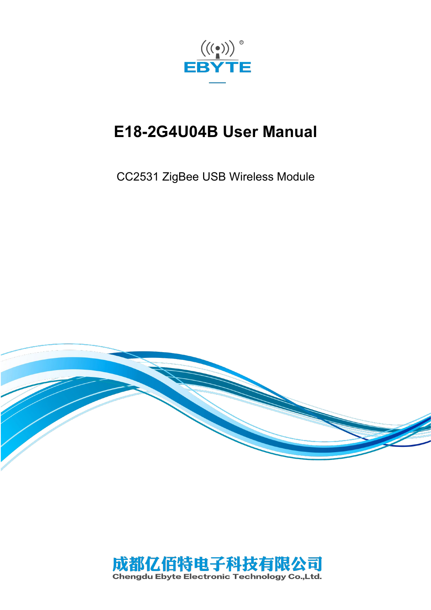

# **E18-2G4U04B User Manual**

CC2531 ZigBee USB Wireless Module



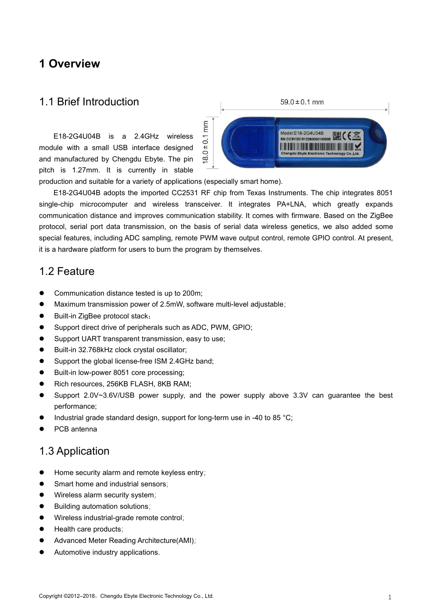### **1 Overview**

### 1.1 Brief Introduction

E<br>E18-2G4U04B is a 2.4GHz wireless<br>اساسات ule with a small USB interface designed module with a small USB interface designed and manufactured by Chengdu Ebyte. The pin  $\infty$ pitch is 1.27mm. It is currently in stable



production and suitable for a variety of applications (especially smart home).

E18-2G4U04B adopts the imported CC2531 RF chip from Texas Instruments. The chip integrates 8051 single-chip microcomputer and wireless transceiver. It integrates PA+LNA, which greatly expands communication distance and improves communication stability. It comes with firmware. Based on the ZigBee protocol, serial port data transmission, on the basis of serial data wireless genetics, we also added some special features, including ADC sampling, remote PWM wave output control, remote GPIO control. At present, it is a hardware platform for users to burn the program by themselves.

### 1.2 Feature

- Communication distance tested is up to 200m;
- Maximum transmission power of 2.5mW, software multi-level adjustable;
- Built-in ZigBee protocol stack;
- Support direct drive of peripherals such as ADC, PWM, GPIO;
- **•** Support UART transparent transmission, easy to use;
- Built-in 32.768kHz clock crystal oscillator;
- Support the global license-free ISM 2.4GHz band;
- Built-in low-power 8051 core processing;
- Rich resources, 256KB FLASH, 8KB RAM;
- Support 2.0V~3.6V/USB power supply, and the power supply above 3.3V can guarantee the best performance;
- Industrial grade standard design, support for long-term use in -40 to 85 °C;
- PCB antenna

### 1.3 Application

- $\bullet$  Home security alarm and remote keyless entry;
- Smart home and industrial sensors;
- **Wireless alarm security system;**
- Building automation solutions;
- Wireless industrial-grade remote control;
- Health care products;
- Advanced Meter Reading Architecture(AMI);
- Automotive industry applications.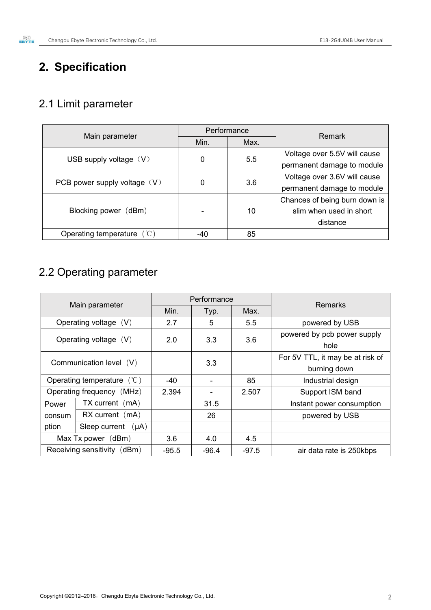# **2. Specification**

# 2.1 Limit parameter

|                              | Performance |      | <b>Remark</b>                 |  |
|------------------------------|-------------|------|-------------------------------|--|
| Main parameter               | Min.        | Max. |                               |  |
|                              |             | 5.5  | Voltage over 5.5V will cause  |  |
| USB supply voltage $(V)$     | 0           |      | permanent damage to module    |  |
|                              | 0           |      | Voltage over 3.6V will cause  |  |
| PCB power supply voltage (V) |             | 3.6  | permanent damage to module    |  |
|                              |             |      | Chances of being burn down is |  |
| Blocking power (dBm)         |             | 10   | slim when used in short       |  |
|                              |             |      | distance                      |  |
| Operating temperature $(°C)$ | -40         | 85   |                               |  |

# 2.2 Operating parameter

| Main parameter              |                              | Performance |                          |         | <b>Remarks</b>                   |  |
|-----------------------------|------------------------------|-------------|--------------------------|---------|----------------------------------|--|
|                             |                              | Min.        | Typ.                     | Max.    |                                  |  |
|                             | Operating voltage (V)        | 2.7         | 5                        | 5.5     | powered by USB                   |  |
| Operating voltage (V)       |                              | 2.0         | 3.3                      | 3.6     | powered by pcb power supply      |  |
|                             |                              |             |                          |         | hole                             |  |
| Communication level (V)     |                              |             | 3.3                      |         | For 5V TTL, it may be at risk of |  |
|                             |                              |             |                          |         | burning down                     |  |
|                             | Operating temperature $(°C)$ |             | $\overline{\phantom{a}}$ | 85      | Industrial design                |  |
| Operating frequency (MHz)   |                              | 2.394       |                          | 2.507   | Support ISM band                 |  |
| Power                       | $TX$ current $(mA)$          |             | 31.5                     |         | Instant power consumption        |  |
| consum                      | $RX$ current $(mA)$          |             | 26                       |         | powered by USB                   |  |
| ption                       | Sleep current $(\mu A)$      |             |                          |         |                                  |  |
| Max Tx power (dBm)          |                              | 3.6         | 4.0                      | 4.5     |                                  |  |
| Receiving sensitivity (dBm) |                              | $-95.5$     | $-96.4$                  | $-97.5$ | air data rate is 250kbps         |  |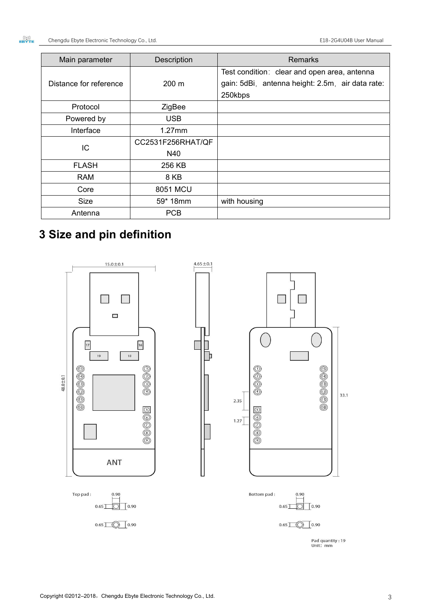| Main parameter         | Description       | <b>Remarks</b>                                   |
|------------------------|-------------------|--------------------------------------------------|
|                        |                   | Test condition: clear and open area, antenna     |
| Distance for reference | $200 \text{ m}$   | gain: 5dBi, antenna height: 2.5m, air data rate: |
|                        |                   | 250kbps                                          |
| Protocol               | ZigBee            |                                                  |
| Powered by             | <b>USB</b>        |                                                  |
| Interface              | $1.27$ mm         |                                                  |
| IC.                    | CC2531F256RHAT/QF |                                                  |
|                        | N40               |                                                  |
| <b>FLASH</b>           | 256 KB            |                                                  |
| <b>RAM</b>             | 8 KB              |                                                  |
| Core                   | 8051 MCU          |                                                  |
| Size                   | 59* 18mm          | with housing                                     |
| Antenna                | <b>PCB</b>        |                                                  |

# **3 Size and pin definition**

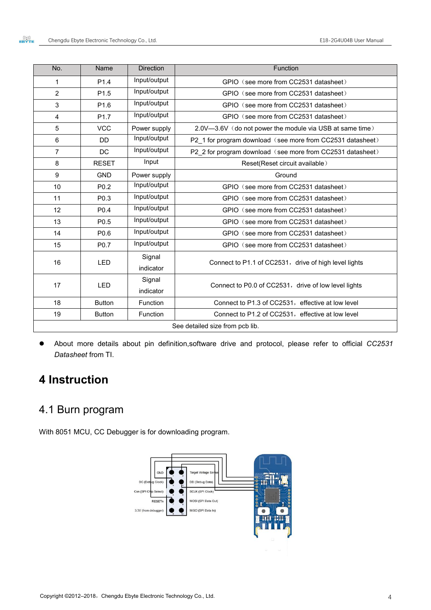| No.            | Name             | <b>Direction</b>    | Function                                                   |
|----------------|------------------|---------------------|------------------------------------------------------------|
| $\mathbf 1$    | P <sub>1.4</sub> | Input/output        | GPIO (see more from CC2531 datasheet)                      |
| $\overline{2}$ | P1.5             | Input/output        | GPIO (see more from CC2531 datasheet)                      |
| 3              | P <sub>1.6</sub> | Input/output        | GPIO (see more from CC2531 datasheet)                      |
| $\overline{4}$ | P <sub>1.7</sub> | Input/output        | GPIO (see more from CC2531 datasheet)                      |
| 5              | <b>VCC</b>       | Power supply        | 2.0V-3.6V (do not power the module via USB at same time)   |
| 6              | <b>DD</b>        | Input/output        | P2 1 for program download (see more from CC2531 datasheet) |
| $\overline{7}$ | <b>DC</b>        | Input/output        | P2 2 for program download (see more from CC2531 datasheet) |
| 8              | <b>RESET</b>     | Input               | Reset(Reset circuit available)                             |
| 9              | <b>GND</b>       | Power supply        | Ground                                                     |
| 10             | P <sub>0.2</sub> | Input/output        | GPIO (see more from CC2531 datasheet)                      |
| 11             | P <sub>0.3</sub> | Input/output        | GPIO (see more from CC2531 datasheet)                      |
| 12             | P0.4             | Input/output        | GPIO (see more from CC2531 datasheet)                      |
| 13             | P <sub>0.5</sub> | Input/output        | GPIO (see more from CC2531 datasheet)                      |
| 14             | P0.6             | Input/output        | GPIO (see more from CC2531 datasheet)                      |
| 15             | P <sub>0.7</sub> | Input/output        | GPIO (see more from CC2531 datasheet)                      |
| 16             | LED              | Signal<br>indicator | Connect to P1.1 of CC2531, drive of high level lights      |
| 17             | <b>LED</b>       | Signal<br>indicator | Connect to P0.0 of CC2531, drive of low level lights       |
| 18             | <b>Button</b>    | Function            | Connect to P1.3 of CC2531, effective at low level          |
| 19             | <b>Button</b>    | Function            | Connect to P1.2 of CC2531, effective at low level          |
|                |                  |                     | See detailed size from pcb lib.                            |

 About more details about pin definition,software drive and protocol, please refer to official *CC2531 Datasheet* from TI.

# **4 Instruction**

## 4.1 Burn program

With 8051 MCU, CC Debugger is for downloading program.

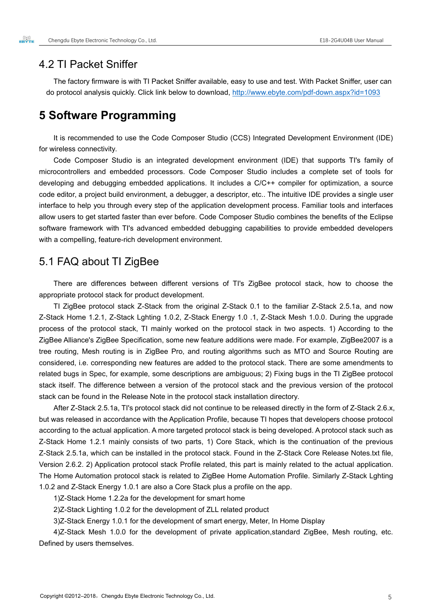### 4.2 TI Packet Sniffer

The factory firmware is with TI Packet Sniffer available, easy to use and test. With Packet Sniffer, user can do protocol analysis quickly. Click link below to download, <http://www.ebyte.com/pdf-down.aspx?id=1093>

### **5 Software Programming**

It is recommended to use the Code Composer Studio (CCS) Integrated Development Environment (IDE) for wireless connectivity.

Code Composer Studio is an integrated development environment (IDE) that supports TI's family of microcontrollers and embedded processors. Code Composer Studio includes a complete set of tools for developing and debugging embedded applications. It includes a C/C++ compiler for optimization, a source code editor, a project build environment, a debugger, a descriptor, etc.. The intuitive IDE provides a single user interface to help you through every step of the application development process. Familiar tools and interfaces allow users to get started faster than ever before. Code Composer Studio combines the benefits of the Eclipse software framework with TI's advanced embedded debugging capabilities to provide embedded developers with a compelling, feature-rich development environment.

### 5.1 FAQ about TI ZigBee

There are differences between different versions of TI's ZigBee protocol stack, how to choose the appropriate protocol stack for product development.

TI ZigBee protocol stack Z-Stack from the original Z-Stack 0.1 to the familiar Z-Stack 2.5.1a, and now Z-Stack Home 1.2.1, Z-Stack Lghting 1.0.2, Z-Stack Energy 1.0 .1, Z-Stack Mesh 1.0.0. During the upgrade process of the protocol stack, TI mainly worked on the protocol stack in two aspects. 1) According to the ZigBee Alliance's ZigBee Specification, some new feature additions were made. For example, ZigBee2007 is a tree routing, Mesh routing is in ZigBee Pro, and routing algorithms such as MTO and Source Routing are considered, i.e. corresponding new features are added to the protocol stack. There are some amendments to related bugs in Spec, for example, some descriptions are ambiguous; 2) Fixing bugs in the TI ZigBee protocol stack itself. The difference between a version of the protocol stack and the previous version of the protocol stack can be found in the Release Note in the protocol stack installation directory.

After Z-Stack 2.5.1a, TI's protocol stack did not continue to be released directly in the form of Z-Stack 2.6.x, but was released in accordance with the Application Profile, because TI hopes that developers choose protocol according to the actual application. A more targeted protocol stack is being developed. A protocol stack such as Z-Stack Home 1.2.1 mainly consists of two parts, 1) Core Stack, which is the continuation of the previous Z-Stack 2.5.1a, which can be installed in the protocol stack. Found in the Z-Stack Core Release Notes.txt file, Version 2.6.2. 2) Application protocol stack Profile related, this part is mainly related to the actual application. The Home Automation protocol stack is related to ZigBee Home Automation Profile. Similarly Z-Stack Lghting 1.0.2 and Z-Stack Energy 1.0.1 are also <sup>a</sup> Core Stack plus <sup>a</sup> profile on the app.1)Z-Stack Home 1.2.2a for the development for smart home

2)Z-Stack Lighting 1.0.2 for the development of ZLL related product

3)Z-Stack Energy 1.0.1 for the development of smart energy, Meter, In Home Display

4)Z-Stack Mesh 1.0.0 for the development of private application,standard ZigBee, Mesh routing, etc. Defined by users themselves.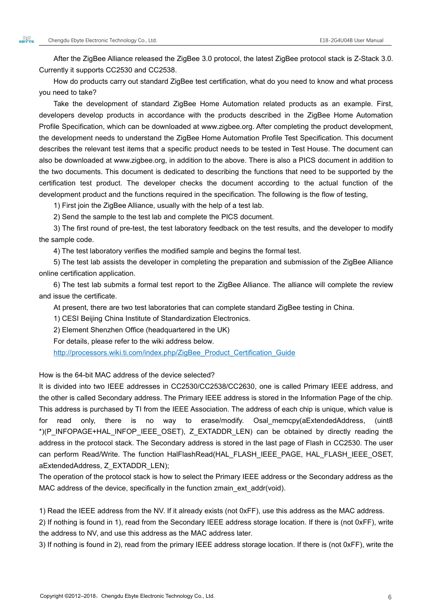After the ZigBee Alliance released the ZigBee 3.0 protocol, the latest ZigBee protocol stack is Z-Stack 3.0. Currently it supports CC2530 and CC2538.

How do products carry out standard ZigBee test certification, what do you need to know and what process you need to take?

Take the development of standard ZigBee Home Automation related products as an example. First, developers develop products in accordance with the products described in the ZigBee Home Automation Profile Specification, which can be downloaded at www.zigbee.org. After completing the product development, the development needs to understand the ZigBee Home Automation Profile Test Specification. This document describes the relevant test items that a specific product needs to be tested in Test House. The document can also be downloaded at www.zigbee.org, in addition to the above. There is also a PICS document in addition to the two documents. This document is dedicated to describing the functions that need to be supported by the certification test product. The developer checks the document according to the actual function of the development product and the functions required in the specification. The following is the flow of testing,

1) First join the ZigBee Alliance, usually with the help of a test lab.

2) Send the sample to the test lab and complete the PICS document.

3) The first round of pre-test, the test laboratory feedback on the test results, and the developer to modify the sample code.

4) The test laboratory verifies the modified sample and begins the formal test.<br>5) The test lab assists the developer in completing the preparation and submission of the ZigBee Alliance online certification application.

6) The test lab submits a formal test report to the ZigBee Alliance. The alliance will complete the review and issue the certificate.

At present, there are two test laboratories that can complete standard ZigBee testing in China.

1) CESI Beijing China Institute of Standardization Electronics.

2) Element Shenzhen Office (headquartered in the UK)

For details, please refer to the wiki address below.

[http://processors.wiki.ti.com/index.php/ZigBee\\_Product\\_Certification\\_Guide](http://processors.wiki.ti.com/index.php/ZigBee_Product_Certification_Guide)

How is the 64-bit MAC address of the device selected?

It is divided into two IEEE addresses in CC2530/CC2538/CC2630, one is called Primary IEEE address, and the other is called Secondary address. The Primary IEEE address is stored in the Information Page of the chip. This address is purchased by TI from the IEEE Association. The address of each chip is unique, which value is for read only, there is no way to erase/modify. Osal\_memcpy(aExtendedAddress, (uint8 \*)(P\_INFOPAGE+HAL\_INFOP\_IEEE\_OSET), Z\_EXTADDR\_LEN) can be obtained by directly reading the address in the protocol stack. The Secondary address is stored in the last page of Flash in CC2530. The user can perform Read/Write. The function HalFlashRead(HAL\_FLASH\_IEEE\_PAGE, HAL\_FLASH\_IEEE\_OSET, aExtendedAddress, Z\_EXTADDR\_LEN);

The operation of the protocol stack is how to select the Primary IEEE address or the Secondary address as the MAC address of the device, specifically in the function zmain ext addr(void).

1) Read the IEEE address from the NV. If it already exists (not 0xFF), use this address as the MAC address.

2) If nothing is found in 1), read from the Secondary IEEE address storage location. If there is (not 0xFF), write the address to NV, and use this address as the MAC address later.

3) If nothing is found in 2), read from the primary IEEE address storage location. If there is (not 0xFF), write the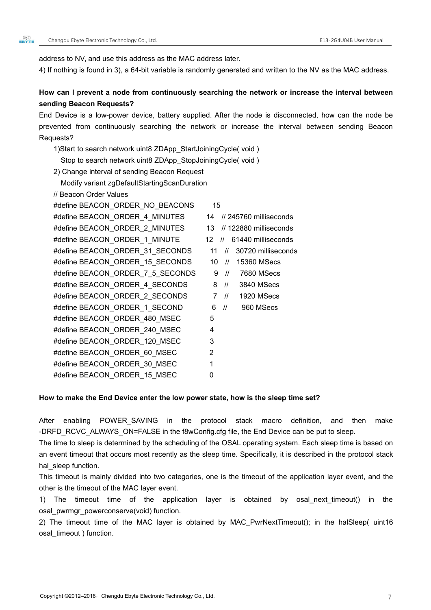address to NV, and use this address as the MAC address later.

4) If nothing is found in 3), a 64-bit variable israndomly generated and written to the NV as the MAC address.

#### **How can I prevent a node from continuously searching the network or increase the interval between sending Beacon Requests?**

End Device is a low-power device, battery supplied. After the node is disconnected, how can the node be prevented from continuously searching the network or increase the interval between sending Beacon Requests?

1)Start to search network uint8 ZDApp\_StartJoiningCycle( void ) Stop to search network uint8 ZDApp\_StopJoiningCycle( void ) 2) Change interval of sending Beacon Request Modify variant zgDefaultStartingScanDuration

// Beacon Order Values

| #define BEACON ORDER NO BEACONS  | 15                                            |
|----------------------------------|-----------------------------------------------|
| #define BEACON_ORDER_4_MINUTES   | // 245760 milliseconds<br>14                  |
| #define BEACON ORDER 2 MINUTES   | // 122880 milliseconds<br>13                  |
| #define BEACON_ORDER_1_MINUTE    | 61440 milliseconds<br>12<br>$\frac{1}{2}$     |
| #define BEACON_ORDER_31_SECONDS  | 30720 milliseconds<br>11<br>$^{\prime\prime}$ |
| #define BEACON ORDER 15 SECONDS  | 10<br>15360 MSecs<br>$^{\prime\prime}$        |
| #define BEACON_ORDER_7_5_SECONDS | 7680 MSecs<br>$\prime\prime$<br>9             |
| #define BEACON_ORDER_4_SECONDS   | $\frac{1}{2}$<br>8<br>3840 MSecs              |
| #define BEACON ORDER 2 SECONDS   | $\frac{1}{2}$<br>1920 MSecs<br>$7^{\circ}$    |
| #define BEACON ORDER 1 SECOND    | $\frac{1}{2}$<br>960 MSecs<br>6               |
| #define BEACON ORDER 480 MSEC    | 5                                             |
| #define BEACON ORDER 240 MSEC    | 4                                             |
| #define BEACON_ORDER_120_MSEC    | 3                                             |
| #define BEACON ORDER 60 MSEC     | 2                                             |
| #define BEACON_ORDER_30_MSEC     |                                               |
| #define BEACON ORDER 15 MSEC     | 0                                             |

#### **How to make the End Device enter the low power state, how is the sleep time set?**

After enabling POWER\_SAVING in the protocol stack macro definition, and then make -DRFD\_RCVC\_ALWAYS\_ON=FALSE in the f8wConfig.cfg file, the End Device can be put to sleep.

The time to sleep is determined by the scheduling of the OSAL operating system. Each sleep time is based on an event timeout that occurs most recently as the sleep time. Specifically, it is described in the protocol stack hal sleep function.

This timeout is mainly divided into two categories, one is the timeout of the application layer event, and the other is the timeout of the MAC layer event.

1) The timeout time of the application layer is obtained by osal\_next\_timeout() in the osal\_pwrmgr\_powerconserve(void) function.

2) The timeout time of the MAC layer is obtained by MAC\_PwrNextTimeout(); in the halSleep( uint16 osal\_timeout ) function.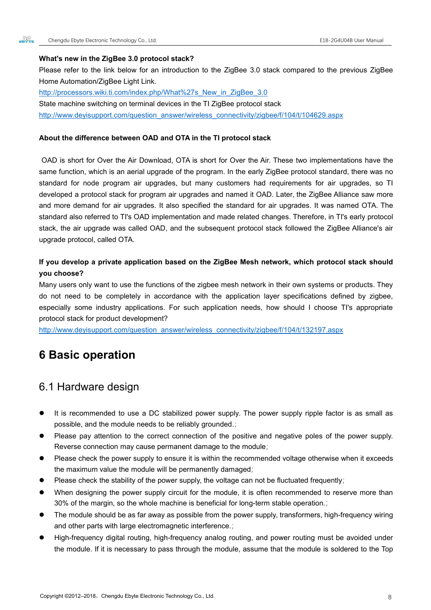#### **What's new in the ZigBee 3.0 protocol stack?**

Please refer to the link below for an introduction to the ZigBee 3.0 stack compared to the previous ZigBee Home Automation/ZigBee Light Link.

[http://processors.wiki.ti.com/index.php/What%27s\\_New\\_in\\_ZigBee\\_3.0](http://processors.wiki.ti.com/index.php/What%27s_New_in_ZigBee_3.0) State machine switching on terminal devices in the TI ZigBee protocol stack

[http://www.deyisupport.com/question\\_answer/wireless\\_connectivity/zigbee/f/104/t/104629.aspx](http://www.deyisupport.com/question_answer/wireless_connectivity/zigbee/f/104/t/104629.aspx)

#### **About the difference between OAD andOTA in the TI protocolstack**

OAD is short for Over the Air Download, OTA is short for Over the Air. These two implementations have the same function, which is an aerial upgrade of the program. In the early ZigBee protocol standard, there was no standard for node program air upgrades, but many customers had requirements for air upgrades, so TI developed a protocol stack for program air upgrades and named it OAD. Later, the ZigBee Alliance saw more and more demand for air upgrades. It also specified the standard for air upgrades. It was named OTA. The standard also referred to TI's OAD implementation and made related changes. Therefore, in TI's early protocol stack, the air upgrade was called OAD, and the subsequent protocol stack followed the ZigBee Alliance's air upgrade protocol, called OTA.

#### **If you develop a private application based on the ZigBee Mesh network, which protocol stack should you choose?**

Many users only want to use the functions of the zigbee mesh network in their own systems or products. They do not need to be completely in accordance with the application layer specifications defined by zigbee,<br>especially some industry applications. For such application needs, how should I choose TI's appropriate protocol stack for product development?

[http://www.deyisupport.com/question\\_answer/wireless\\_connectivity/zigbee/f/104/t/132197.aspx](http://www.deyisupport.com/question_answer/wireless_connectivity/zigbee/f/104/t/132197.aspx)

### **6 Basic operation**

### 6.1 Hardware design

- It is recommended to use a DC stabilized power supply. The power supply ripple factor is as small as possible, and the module needs to be reliably grounded.;
- Please pay attention to the correct connection of the positive and negative poles of the power supply. Reverse connection may cause permanent damage to the module;
- Please check the power supply to ensure it is within the recommended voltage otherwise when it exceeds the maximum value the module will be permanently damaged;
- Please check the stability of the power supply, the voltage can not be fluctuated frequently;
- When designing the power supply circuit for the module, it is often recommended to reserve more than 30% of the margin, so the whole machine is beneficial for long-term stable operation.;
- The module should be as faraway as possible from the power supply, transformers, high-frequency wiring and other parts with large electromagnetic interference.;
- High-frequency digital routing, high-frequency analog routing, and power routing must be avoided under the module. If it is necessary to pass through the module, assume that the module issoldered to the Top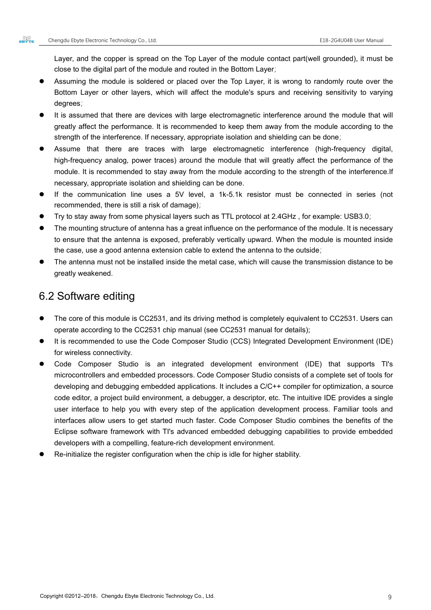Layer, and the copper is spread on the Top Layer of the module contact part(well grounded), it must be close to the digital part of the module and routed in the Bottom Layer;

- Assuming the module is soldered or placed over the Top Layer, it is wrong to randomly route over the Bottom Layer or other layers, which will affect the module's spurs and receiving sensitivity to varying degrees;
- It is assumed that there are devices with large electromagnetic interference around the module that will greatly affect the performance. It is recommended to keep them away from the module according to the strength of the interference. If necessary, appropriate isolation and shielding can be done;
- Assume that there are traces with large electromagnetic interference (high-frequency digital, high-frequency analog, power traces) around the module that will greatly affect the performance of the module. It is recommended to stay away from the module according to the strength of the interference.If necessary, appropriate isolation and shielding can be done.
- If the communication line uses a 5V level, a 1k-5.1k resistor must be connected in series (not recommended, there is still a risk of damage);
- Try to stay away from some physical layers such as TTL protocol at 2.4GHz , for example: USB3.0;
- The mounting structure of antenna has a great influence on the performance of the module. It is necessary to ensure that the antenna is exposed, preferably vertically upward. When the module is mounted inside the case, use a good antenna extension cable to extend the antenna to the outside;
- The antenna must not be installed inside the metal case, which will cause the transmission distance to be greatly weakened.

### 6.2 Software editing

- The core of this module is CC2531, and its driving method is completely equivalent to CC2531. Users can operate according to the CC2531 chip manual (see CC2531 manual for details);
- It is recommended to use the Code Composer Studio (CCS) Integrated Development Environment (IDE) for wireless connectivity.
- Code Composer Studio is an integrated development environment (IDE) that supports TI's microcontrollers and embedded processors. Code Composer Studio consists of a complete set of tools for developing and debugging embedded applications. It includes a C/C++ compiler for optimization, a source code editor, a project build environment, a debugger, a descriptor, etc. The intuitive IDE provides a single user interface to help you with every step of the application development process. Familiar tools and interfaces allow users to get started much faster. Code Composer Studio combines the benefits of the Eclipse software framework with TI's advanced embedded debugging capabilities to provide embedded developers with a compelling, feature-rich development environment.
- Re-initialize the register configuration when the chip is idle for higher stability.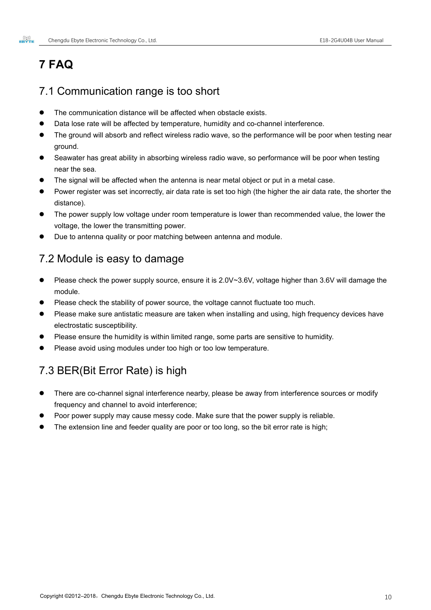# **7 FAQ**

### 7.1 Communication range is too short

- The communication distance will be affected when obstacle exists.
- Data lose rate will be affected by temperature, humidity and co-channel interference.
- The ground will absorb and reflect wireless radio wave, so the performance will be poor when testing near ground.
- Seawater has great ability in absorbing wireless radio wave, so performance will be poor when testing near the sea.
- The signal will be affected when the antenna is near metal object or put in a metal case.
- Power registerwas set incorrectly, air data rate is set too high (the higher the air data rate, the shorter the distance).
- The power supply low voltage under room temperature is lower than recommended value, the lower the voltage, the lower the transmitting power.
- Due to antenna quality or poor matching between antenna and module.

### 7.2 Module is easy to damage

- Please check the power supply source, ensure it is 2.0V~3.6V, voltage higher than 3.6V will damage the module.
- Please check the stability of power source, the voltage cannot fluctuate too much.
- Please make sure antistatic measure are taken when installing and using, high frequency devices have electrostatic susceptibility.
- Please ensure the humidity is within limited range, some parts are sensitive to humidity.
- Please avoid using modules under too high or too low temperature.

# 7.3 BER(Bit Error Rate) is high

- There are co-channel signal interference nearby, please be away from interference sources or modify frequency and channel to avoid interference;
- Poor power supply may cause messy code. Make sure that the power supply is reliable.
- The extension line and feeder quality are poor or too long, so the bit error rate is high;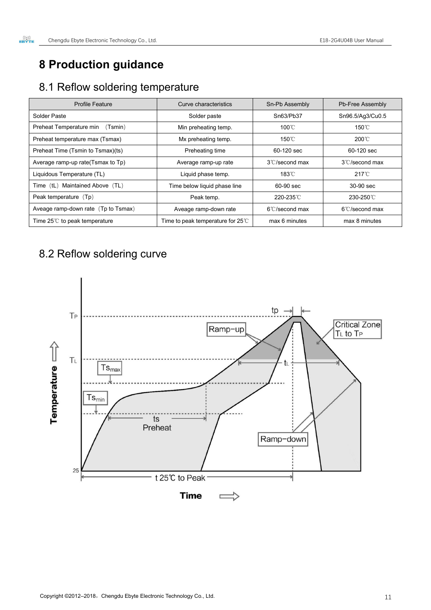# **8 Production guidance**

# 8.1 Reflow soldering temperature

| <b>Profile Feature</b>                | Curve characteristics                     | Sn-Pb Assembly           | Pb-Free Assembly         |
|---------------------------------------|-------------------------------------------|--------------------------|--------------------------|
| Solder Paste                          | Solder paste                              | Sn63/Pb37                | Sn96.5/Ag3/Cu0.5         |
| Preheat Temperature min<br>(Tsmin)    | Min preheating temp.                      | 100°C                    | 150°C                    |
| Preheat temperature max (Tsmax)       | Mx preheating temp.                       | $150^{\circ}$ C          | 200°C                    |
| Preheat Time (Tsmin to Tsmax)(ts)     | Preheating time                           | 60-120 sec               | 60-120 sec               |
| Average ramp-up rate(Tsmax to Tp)     | Average ramp-up rate                      | $3^{\circ}$ C/second max | $3^{\circ}$ C/second max |
| Liquidous Temperature (TL)            | Liquid phase temp.                        | $183^{\circ}$ C          | $217^{\circ}$ C          |
| Maintained Above (TL)<br>Time $(tL)$  | Time below liquid phase line              | 60-90 sec                | 30-90 sec                |
| Peak temperature (Tp)                 | Peak temp.                                | 220-235°C                | 230-250°C                |
| Aveage ramp-down rate (Tp to Tsmax)   | Aveage ramp-down rate                     | $6^{\circ}$ C/second max | $6^{\circ}$ C/second max |
| Time $25^{\circ}$ to peak temperature | Time to peak temperature for $25^{\circ}$ | max 6 minutes            | max 8 minutes            |

# 8.2 Reflow soldering curve